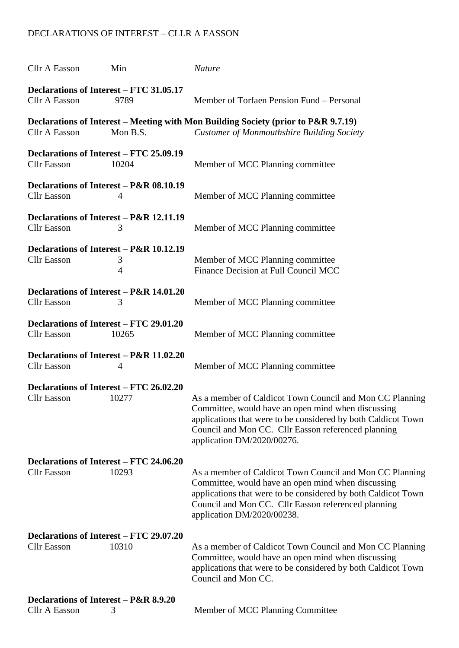## DECLARATIONS OF INTEREST – CLLR A EASSON

| Cllr A Easson                                                 | Min                                               | <b>Nature</b>                                                                                                                                                                                                                                                        |  |  |
|---------------------------------------------------------------|---------------------------------------------------|----------------------------------------------------------------------------------------------------------------------------------------------------------------------------------------------------------------------------------------------------------------------|--|--|
| Declarations of Interest – FTC 31.05.17<br>Cllr A Easson      | 9789                                              | Member of Torfaen Pension Fund – Personal                                                                                                                                                                                                                            |  |  |
| Cllr A Easson                                                 | Mon B.S.                                          | Declarations of Interest – Meeting with Mon Building Society (prior to P&R 9.7.19)<br><b>Customer of Monmouthshire Building Society</b>                                                                                                                              |  |  |
| Declarations of Interest – FTC 25.09.19<br><b>Cllr</b> Easson | 10204                                             | Member of MCC Planning committee                                                                                                                                                                                                                                     |  |  |
| <b>Cllr</b> Easson                                            | Declarations of Interest – P&R 08.10.19<br>4      | Member of MCC Planning committee                                                                                                                                                                                                                                     |  |  |
| <b>Cllr</b> Easson                                            | Declarations of Interest – P&R 12.11.19<br>3      | Member of MCC Planning committee                                                                                                                                                                                                                                     |  |  |
| <b>Cllr</b> Easson                                            | Declarations of Interest – P&R 10.12.19<br>3<br>4 | Member of MCC Planning committee<br>Finance Decision at Full Council MCC                                                                                                                                                                                             |  |  |
| <b>Cllr</b> Easson                                            | Declarations of Interest – P&R 14.01.20<br>3      | Member of MCC Planning committee                                                                                                                                                                                                                                     |  |  |
| Declarations of Interest – FTC 29.01.20<br><b>Cllr</b> Easson | 10265                                             | Member of MCC Planning committee                                                                                                                                                                                                                                     |  |  |
| <b>Cllr</b> Easson                                            | Declarations of Interest – P&R 11.02.20<br>4      | Member of MCC Planning committee                                                                                                                                                                                                                                     |  |  |
| Declarations of Interest – FTC 26.02.20<br><b>Cllr</b> Easson | 10277                                             | As a member of Caldicot Town Council and Mon CC Planning<br>Committee, would have an open mind when discussing<br>applications that were to be considered by both Caldicot Town<br>Council and Mon CC. Cllr Easson referenced planning<br>application DM/2020/00276. |  |  |
| Declarations of Interest – FTC 24.06.20                       |                                                   |                                                                                                                                                                                                                                                                      |  |  |
| <b>Cllr</b> Easson                                            | 10293                                             | As a member of Caldicot Town Council and Mon CC Planning<br>Committee, would have an open mind when discussing<br>applications that were to be considered by both Caldicot Town<br>Council and Mon CC. Cllr Easson referenced planning<br>application DM/2020/00238. |  |  |
| Declarations of Interest – FTC 29.07.20<br><b>Cllr</b> Easson | 10310                                             | As a member of Caldicot Town Council and Mon CC Planning<br>Committee, would have an open mind when discussing<br>applications that were to be considered by both Caldicot Town<br>Council and Mon CC.                                                               |  |  |
| Declarations of Interest - P&R 8.9.20<br><b>Cllr A Easson</b> | 3                                                 | Member of MCC Planning Committee                                                                                                                                                                                                                                     |  |  |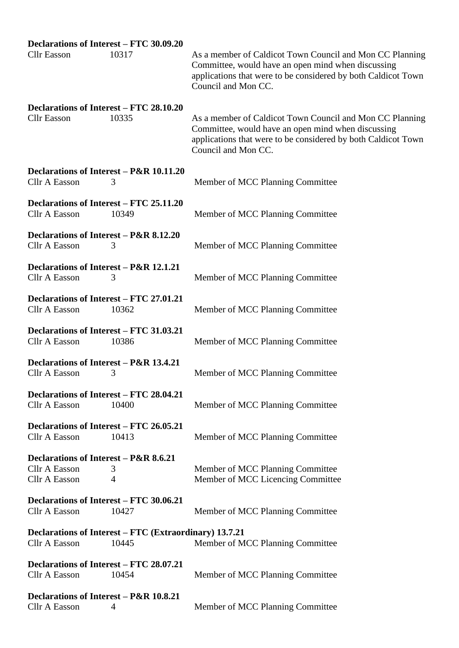## **Declarations of Interest – FTC 30.09.20**

| <b>Cllr</b> Easson                                                      | 10317          | As a member of Caldicot Town Council and Mon CC Planning<br>Committee, would have an open mind when discussing<br>applications that were to be considered by both Caldicot Town<br>Council and Mon CC. |
|-------------------------------------------------------------------------|----------------|--------------------------------------------------------------------------------------------------------------------------------------------------------------------------------------------------------|
| Declarations of Interest – FTC 28.10.20<br><b>Cllr</b> Easson           | 10335          | As a member of Caldicot Town Council and Mon CC Planning<br>Committee, would have an open mind when discussing<br>applications that were to be considered by both Caldicot Town<br>Council and Mon CC. |
| Declarations of Interest – P&R 10.11.20<br>Cllr A Easson                | 3              | Member of MCC Planning Committee                                                                                                                                                                       |
| Declarations of Interest - FTC 25.11.20<br>Cllr A Easson                | 10349          | Member of MCC Planning Committee                                                                                                                                                                       |
| Declarations of Interest - P&R 8.12.20<br>Cllr A Easson                 | 3              | Member of MCC Planning Committee                                                                                                                                                                       |
| Declarations of Interest – P&R 12.1.21<br>Cllr A Easson                 | 3              | Member of MCC Planning Committee                                                                                                                                                                       |
| Declarations of Interest – FTC 27.01.21<br>Cllr A Easson                | 10362          | Member of MCC Planning Committee                                                                                                                                                                       |
| Declarations of Interest – FTC 31.03.21<br>Cllr A Easson                | 10386          | Member of MCC Planning Committee                                                                                                                                                                       |
| Declarations of Interest - P&R 13.4.21<br><b>Cllr A Easson</b>          | 3              | Member of MCC Planning Committee                                                                                                                                                                       |
| Declarations of Interest - FTC 28.04.21<br><b>Cllr A Easson</b>         | 10400          | Member of MCC Planning Committee                                                                                                                                                                       |
| Declarations of Interest – FTC 26.05.21<br><b>Cllr A Easson</b>         | 10413          | Member of MCC Planning Committee                                                                                                                                                                       |
| Declarations of Interest – P&R 8.6.21<br>Cllr A Easson<br>Cllr A Easson | 3<br>4         | Member of MCC Planning Committee<br>Member of MCC Licencing Committee                                                                                                                                  |
| Declarations of Interest – FTC 30.06.21<br>Cllr A Easson                | 10427          | Member of MCC Planning Committee                                                                                                                                                                       |
| Declarations of Interest – FTC (Extraordinary) 13.7.21<br>Cllr A Easson | 10445          | Member of MCC Planning Committee                                                                                                                                                                       |
| Declarations of Interest – FTC 28.07.21<br>Cllr A Easson                | 10454          | Member of MCC Planning Committee                                                                                                                                                                       |
| Declarations of Interest – P&R 10.8.21<br>Cllr A Easson                 | $\overline{4}$ | Member of MCC Planning Committee                                                                                                                                                                       |